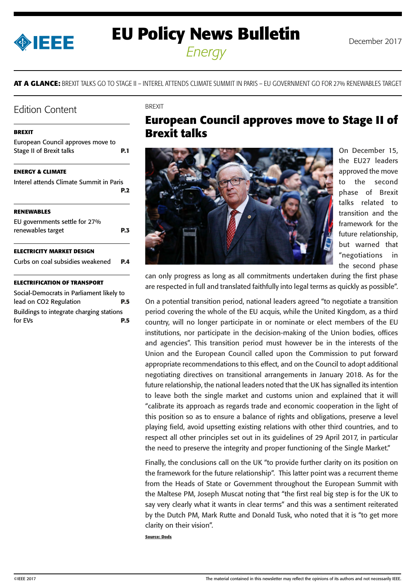<span id="page-0-0"></span>

# **EU Policy News Bulletin** December 2017 *Energy*

**AT A GLANCE:** BREXIT TALKS GO TO STAGE II – INTEREL ATTENDS CLIMATE SUMMIT IN PARIS – EU GOVERNMENT GO FOR 27% RENEWABLES TARGET

### Edition Content

#### **BREXIT**

| European Council approves move to       |      |
|-----------------------------------------|------|
| <b>Stage II of Brexit talks</b>         | P. 1 |
| <b>ENERGY &amp; CLIMATE</b>             |      |
| Interel attends Climate Summit in Paris | P.2  |
| <b>RENEWABLES</b>                       |      |
| EU governments settle for 27%           |      |
| renewables target                       | P.3  |
| ELECTRICITY MARKET DESIGN               |      |
| Curbs on coal subsidies weakened        | P.4  |
| FCTRIFICATION OF TRANSPORT              |      |

#### **[ELECTRIFICATION OF TRANSPORT](#page-4-0)**

[Social-Democrats in Parliament likely to](#page-4-0)  [lead on CO2 Regulation](#page-4-0) **P.5** [Buildings to integrate charging stations](#page-4-0)  [for EVs](#page-4-0) **P.5**

#### **BREXIT**

## **European Council approves move to Stage II of Brexit talks**



On December 15, the EU27 leaders approved the move to the second phase of Brexit talks related to transition and the framework for the future relationship, but warned that "negotiations in the second phase

can only progress as long as all commitments undertaken during the first phase are respected in full and translated faithfully into legal terms as quickly as possible".

On a potential transition period, national leaders agreed "to negotiate a transition period covering the whole of the EU acquis, while the United Kingdom, as a third country, will no longer participate in or nominate or elect members of the EU institutions, nor participate in the decision-making of the Union bodies, offices and agencies". This transition period must however be in the interests of the Union and the European Council called upon the Commission to put forward appropriate recommendations to this effect, and on the Council to adopt additional negotiating directives on transitional arrangements in January 2018. As for the future relationship, the national leaders noted that the UK has signalled its intention to leave both the single market and customs union and explained that it will "calibrate its approach as regards trade and economic cooperation in the light of this position so as to ensure a balance of rights and obligations, preserve a level playing field, avoid upsetting existing relations with other third countries, and to respect all other principles set out in its guidelines of 29 April 2017, in particular the need to preserve the integrity and proper functioning of the Single Market."

Finally, the conclusions call on the UK "to provide further clarity on its position on the framework for the future relationship". This latter point was a recurrent theme from the Heads of State or Government throughout the European Summit with the Maltese PM, Joseph Muscat noting that "the first real big step is for the UK to say very clearly what it wants in clear terms" and this was a sentiment reiterated by the Dutch PM, Mark Rutte and Donald Tusk, who noted that it is "to get more clarity on their vision".

**Source: Dods**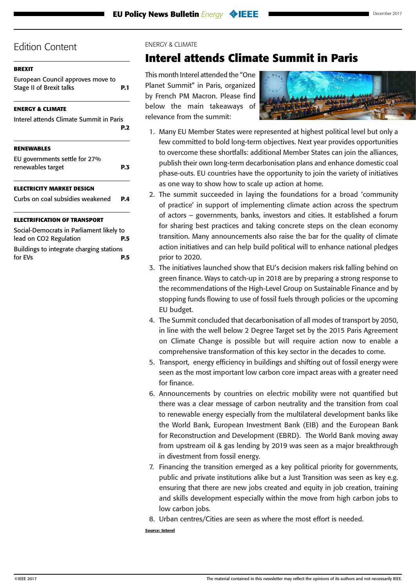### <span id="page-1-0"></span>**[BREXIT](#page-0-0)**

[European Council approves move to](#page-0-0)  [Stage II of Brexit talks](#page-0-0) **P.1**

### **ENERGY & CLIMATE**

| Interel attends Climate Summit in Paris            | P.2 |
|----------------------------------------------------|-----|
| <b>RENEWABLES</b>                                  |     |
| EU governments settle for 27%<br>renewables target | PЗ  |
| <b>ELECTRICITY MARKET DESIGN</b>                   |     |
| Curbs on coal subsidies weakened                   | PД  |
| <b>ELECTRIFICATION OF TRANSPORT</b>                |     |

[Social-Democrats in Parliament likely to](#page-4-0)  [lead on CO2 Regulation](#page-4-0) **P.5** [Buildings to integrate charging stations](#page-4-0)  [for EVs](#page-4-0) **P.5**

#### ENERGY & CLIMATE

## **Interel attends Climate Summit in Paris**

This month Interel attended the "One Planet Summit" in Paris, organized by French PM Macron. Please find below the main takeaways of relevance from the summit:



- 1. Many EU Member States were represented at highest political level but only a few committed to bold long-term objectives. Next year provides opportunities to overcome these shortfalls: additional Member States can join the alliances, publish their own long-term decarbonisation plans and enhance domestic coal phase-outs. EU countries have the opportunity to join the variety of initiatives as one way to show how to scale up action at home.
- 2. The summit succeeded in laying the foundations for a broad 'community of practice' in support of implementing climate action across the spectrum of actors – governments, banks, investors and cities. It established a forum for sharing best practices and taking concrete steps on the clean economy transition. Many announcements also raise the bar for the quality of climate action initiatives and can help build political will to enhance national pledges prior to 2020.
- 3. The initiatives launched show that EU's decision makers risk falling behind on green finance. Ways to catch-up in 2018 are by preparing a strong response to the recommendations of the High-Level Group on Sustainable Finance and by stopping funds flowing to use of fossil fuels through policies or the upcoming EU budget.
- 4. The Summit concluded that decarbonisation of all modes of transport by 2050, in line with the well below 2 Degree Target set by the 2015 Paris Agreement on Climate Change is possible but will require action now to enable a comprehensive transformation of this key sector in the decades to come.
- 5. Transport, energy efficiency in buildings and shifting out of fossil energy were seen as the most important low carbon core impact areas with a greater need for finance.
- 6. Announcements by countries on electric mobility were not quantified but there was a clear message of carbon neutrality and the transition from coal to renewable energy especially from the multilateral development banks like the World Bank, European Investment Bank (EIB) and the European Bank for Reconstruction and Development (EBRD). The World Bank moving away from upstream oil & gas lending by 2019 was seen as a major breakthrough in divestment from fossil energy.
- 7. Financing the transition emerged as a key political priority for governments, public and private institutions alike but a Just Transition was seen as key e.g. ensuring that there are new jobs created and equity in job creation, training and skills development especially within the move from high carbon jobs to low carbon jobs.
- 8. Urban centres/Cities are seen as where the most effort is needed.

**Source: Interel**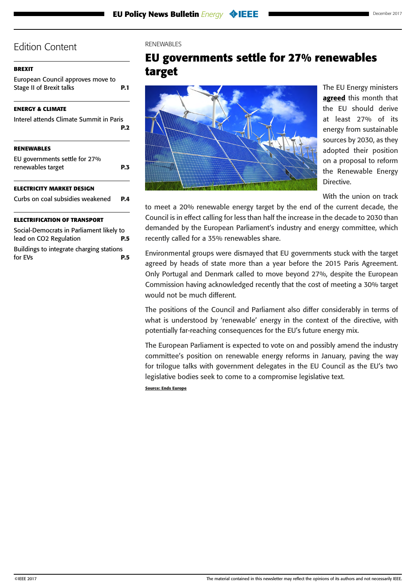### <span id="page-2-0"></span>**[BREXIT](#page-0-0)**

[European Council approves move to](#page-0-0)  [Stage II of Brexit talks](#page-0-0) **P.1**

### **[ENERGY & CLIMATE](#page-1-0)**

| Interel attends Climate Summit in Paris            | P. <sub>2</sub> |
|----------------------------------------------------|-----------------|
| <b>RENEWABLES</b>                                  |                 |
| EU governments settle for 27%<br>renewables target | P.3             |
| <b>ELECTRICITY MARKET DESIGN</b>                   |                 |
| Curbs on coal subsidies weakened                   | P.A             |
| <b>ELECTRIFICATION OF TRANSPORT</b>                |                 |

[Social-Democrats in Parliament likely to](#page-4-0)  [lead on CO2 Regulation](#page-4-0) **P.5** [Buildings to integrate charging stations](#page-4-0)  [for EVs](#page-4-0) **P.5**

#### RENEWABLES

## **EU governments settle for 27% renewables target**



The EU Energy ministers [agreed](http://data.consilium.europa.eu/doc/document/ST-15236-2017-COR-1/en/pdf) this month that the EU should derive at least 27% of its energy from sustainable sources by 2030, as they adopted their position on a proposal to reform the Renewable Energy Directive.

With the union on track

to meet a 20% renewable energy target by the end of the current decade, the Council is in effect calling for less than half the increase in the decade to 2030 than demanded by the European Parliament's industry and energy committee, which recently called for a 35% renewables share.

Environmental groups were dismayed that EU governments stuck with the target agreed by heads of state more than a year before the 2015 Paris Agreement. Only Portugal and Denmark called to move beyond 27%, despite the European Commission having acknowledged recently that the cost of meeting a 30% target would not be much different.

The positions of the Council and Parliament also differ considerably in terms of what is understood by 'renewable' energy in the context of the directive, with potentially far-reaching consequences for the EU's future energy mix.

The European Parliament is expected to vote on and possibly amend the industry committee's position on renewable energy reforms in January, paving the way for trilogue talks with government delegates in the EU Council as the EU's two legislative bodies seek to come to a compromise legislative text.

**Source: Ends Europe**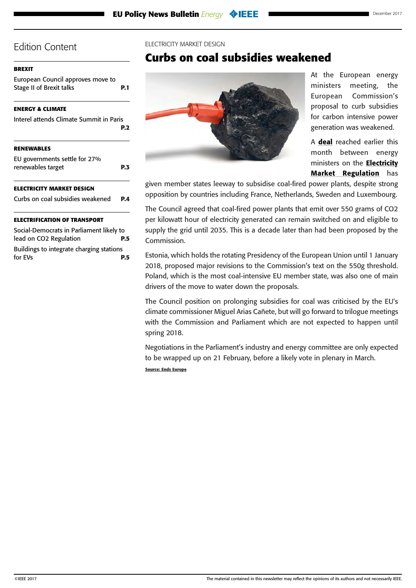#### <span id="page-3-0"></span>**[BREXIT](#page-0-0)**

[European Council approves move to](#page-0-0)  [Stage II of Brexit talks](#page-0-0) **P.1**

#### **[ENERGY & CLIMATE](#page-1-0)**

| Interel attends Climate Summit in Paris | <b>P.2</b> |
|-----------------------------------------|------------|
| <b>RENEWABLES</b>                       |            |
| EU governments settle for 27%           |            |
| renewables target                       | P.3        |
| ELECTRICITY MARKET DESIGN               |            |
| Curbs on coal subsidies weakened        | P.A        |
|                                         |            |

### **[ELECTRIFICATION OF TRANSPORT](#page-4-0)**

[Social-Democrats in Parliament likely to](#page-4-0)  [lead on CO2 Regulation](#page-4-0) **P.5** [Buildings to integrate charging stations](#page-4-0)  [for EVs](#page-4-0) **P.5**

#### ELECTRICITY MARKET DESIGN

## **Curbs on coal subsidies weakened**



At the European energy ministers meeting, the European Commission's proposal to curb subsidies for carbon intensive power generation was weakened.

A [deal](http://data.consilium.europa.eu/doc/document/ST-15237-2017-COR-1/en/pdf) reached earlier this month between energy ministers on the **Electricity** [Market Regulation](https://ec.europa.eu/energy/sites/ener/files/documents/1_en_act_part1_v9.pdf) has

given member states leeway to subsidise coal-fired power plants, despite strong opposition by countries including France, Netherlands, Sweden and Luxembourg.

The Council agreed that coal-fired power plants that emit over 550 grams of CO2 per kilowatt hour of electricity generated can remain switched on and eligible to supply the grid until 2035. This is a decade later than had been proposed by the Commission.

Estonia, which holds the rotating Presidency of the European Union until 1 January 2018, proposed major revisions to the Commission's text on the 550g threshold. Poland, which is the most coal-intensive EU member state, was also one of main drivers of the move to water down the proposals.

The Council position on prolonging subsidies for coal was criticised by the EU's climate commissioner Miguel Arias Cañete, but will go forward to trilogue meetings with the Commission and Parliament which are not expected to happen until spring 2018.

Negotiations in the Parliament's industry and energy committee are only expected to be wrapped up on 21 February, before a likely vote in plenary in March.

**Source: Ends Europe**